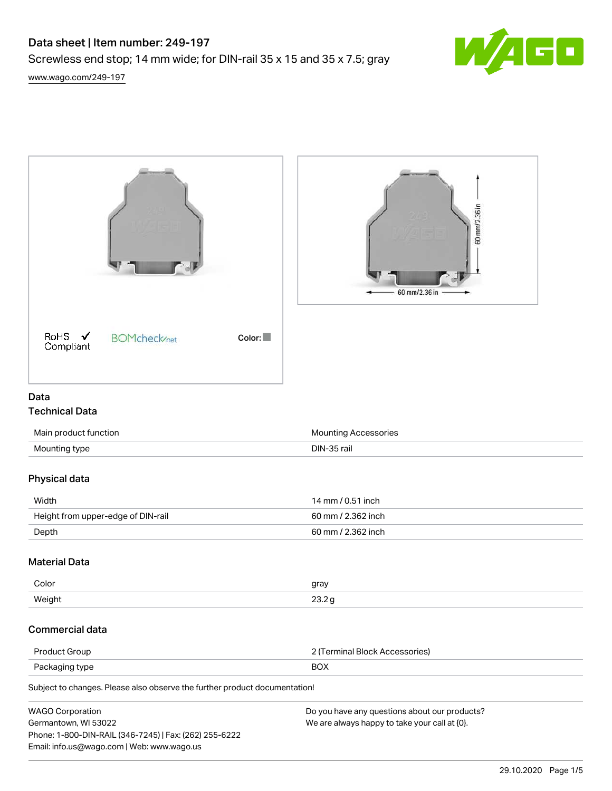# Data sheet | Item number: 249-197

Screwless end stop; 14 mm wide; for DIN-rail 35 x 15 and 35 x 7.5; gray



[www.wago.com/249-197](http://www.wago.com/249-197)

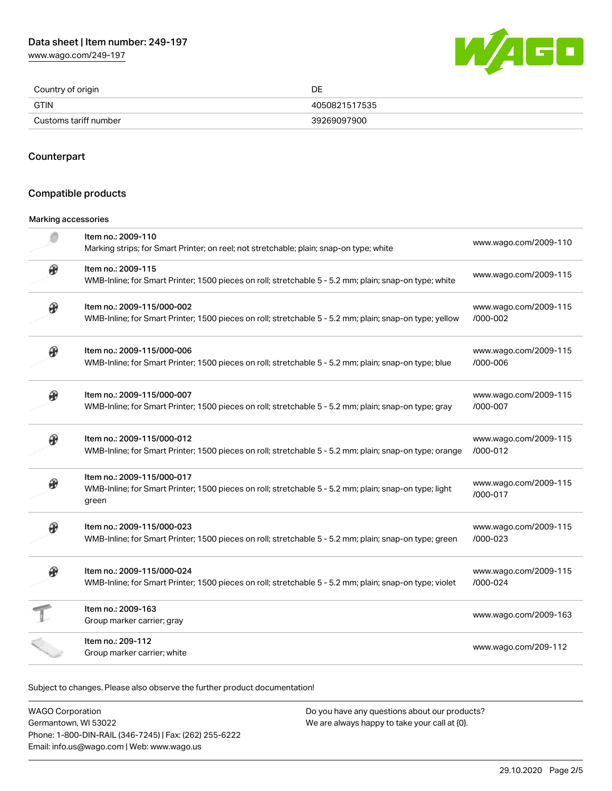[www.wago.com/249-197](http://www.wago.com/249-197)



| Country of origin     | ∩г<br>レヒ      |
|-----------------------|---------------|
| <b>GTIN</b>           | 4050821517535 |
| Customs tariff number | 39269097900   |

### **Counterpart**

#### Compatible products

#### Marking accessories

|   | Item no.: 2009-110<br>Marking strips; for Smart Printer; on reel; not stretchable; plain; snap-on type; white                                 | www.wago.com/2009-110                 |
|---|-----------------------------------------------------------------------------------------------------------------------------------------------|---------------------------------------|
| ⊛ | Item no.: 2009-115<br>WMB-Inline; for Smart Printer; 1500 pieces on roll; stretchable 5 - 5.2 mm; plain; snap-on type; white                  | www.wago.com/2009-115                 |
|   | Item no.: 2009-115/000-002<br>WMB-Inline; for Smart Printer; 1500 pieces on roll; stretchable 5 - 5.2 mm; plain; snap-on type; yellow         | www.wago.com/2009-115<br>/000-002     |
| Ф | Item no.: 2009-115/000-006<br>WMB-Inline; for Smart Printer; 1500 pieces on roll; stretchable 5 - 5.2 mm; plain; snap-on type; blue           | www.wago.com/2009-115<br>/000-006     |
| Ø | Item no.: 2009-115/000-007<br>WMB-Inline; for Smart Printer; 1500 pieces on roll; stretchable 5 - 5.2 mm; plain; snap-on type; gray           | www.wago.com/2009-115<br>/000-007     |
| ⊛ | Item no.: 2009-115/000-012<br>WMB-Inline; for Smart Printer; 1500 pieces on roll; stretchable 5 - 5.2 mm; plain; snap-on type; orange         | www.wago.com/2009-115<br>$/000 - 012$ |
|   | Item no.: 2009-115/000-017<br>WMB-Inline; for Smart Printer; 1500 pieces on roll; stretchable 5 - 5.2 mm; plain; snap-on type; light<br>green | www.wago.com/2009-115<br>/000-017     |
|   | Item no.: 2009-115/000-023<br>WMB-Inline; for Smart Printer; 1500 pieces on roll; stretchable 5 - 5.2 mm; plain; snap-on type; green          | www.wago.com/2009-115<br>/000-023     |
|   | Item no.: 2009-115/000-024<br>WMB-Inline; for Smart Printer; 1500 pieces on roll; stretchable 5 - 5.2 mm; plain; snap-on type; violet         | www.wago.com/2009-115<br>/000-024     |
|   | Item no.: 2009-163<br>Group marker carrier; gray                                                                                              | www.wago.com/2009-163                 |
|   | Item no.: 209-112<br>Group marker carrier; white                                                                                              | www.wago.com/209-112                  |

Subject to changes. Please also observe the further product documentation!

WAGO Corporation Germantown, WI 53022 Phone: 1-800-DIN-RAIL (346-7245) | Fax: (262) 255-6222 Email: info.us@wago.com | Web: www.wago.us Do you have any questions about our products? We are always happy to take your call at {0}.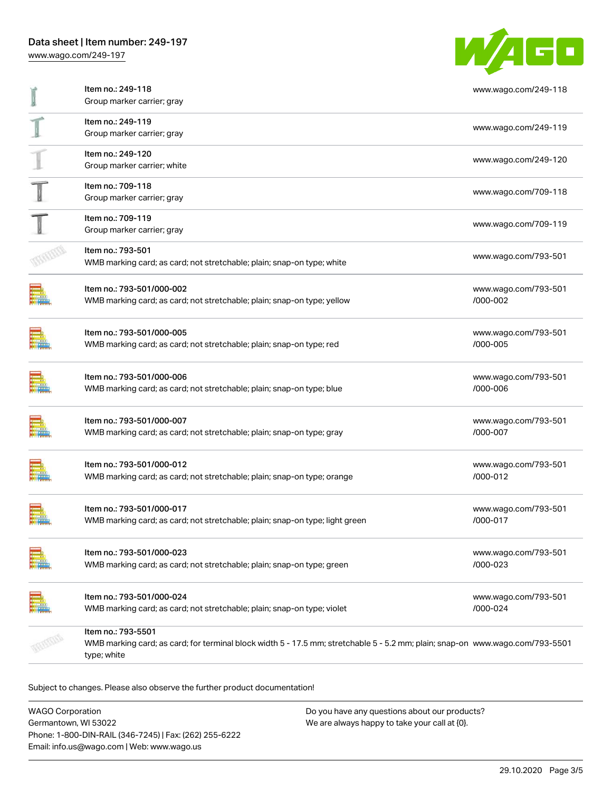

| Item no.: 249-118                                                                                                                                                  | www.wago.com/249-118             |
|--------------------------------------------------------------------------------------------------------------------------------------------------------------------|----------------------------------|
| Group marker carrier; gray                                                                                                                                         |                                  |
| Item no.: 249-119<br>Group marker carrier; gray                                                                                                                    | www.wago.com/249-119             |
| Item no.: 249-120<br>Group marker carrier; white                                                                                                                   | www.wago.com/249-120             |
| Item no.: 709-118<br>Group marker carrier; gray                                                                                                                    | www.wago.com/709-118             |
| Item no.: 709-119<br>Group marker carrier; gray                                                                                                                    | www.wago.com/709-119             |
| Item no.: 793-501<br>WMB marking card; as card; not stretchable; plain; snap-on type; white                                                                        | www.wago.com/793-501             |
| Item no.: 793-501/000-002<br>WMB marking card; as card; not stretchable; plain; snap-on type; yellow                                                               | www.wago.com/793-501<br>/000-002 |
| Item no.: 793-501/000-005<br>WMB marking card; as card; not stretchable; plain; snap-on type; red                                                                  | www.wago.com/793-501<br>/000-005 |
| Item no.: 793-501/000-006<br>WMB marking card; as card; not stretchable; plain; snap-on type; blue                                                                 | www.wago.com/793-501<br>/000-006 |
| Item no.: 793-501/000-007<br>WMB marking card; as card; not stretchable; plain; snap-on type; gray                                                                 | www.wago.com/793-501<br>/000-007 |
| Item no.: 793-501/000-012<br>WMB marking card; as card; not stretchable; plain; snap-on type; orange                                                               | www.wago.com/793-501<br>/000-012 |
| Item no.: 793-501/000-017<br>WMB marking card; as card; not stretchable; plain; snap-on type; light green                                                          | www.wago.com/793-501<br>/000-017 |
| Item no.: 793-501/000-023<br>WMB marking card; as card; not stretchable; plain; snap-on type; green                                                                | www.wago.com/793-501<br>/000-023 |
| Item no.: 793-501/000-024<br>WMB marking card; as card; not stretchable; plain; snap-on type; violet                                                               | www.wago.com/793-501<br>/000-024 |
| Item no.: 793-5501<br>WMB marking card; as card; for terminal block width 5 - 17.5 mm; stretchable 5 - 5.2 mm; plain; snap-on www.wago.com/793-5501<br>type; white |                                  |

Subject to changes. Please also observe the further product documentation!

| <b>WAGO Corporation</b>                                | Do you have any questions about our products? |
|--------------------------------------------------------|-----------------------------------------------|
| Germantown, WI 53022                                   | We are always happy to take your call at {0}. |
| Phone: 1-800-DIN-RAIL (346-7245)   Fax: (262) 255-6222 |                                               |
| Email: info.us@wago.com   Web: www.wago.us             |                                               |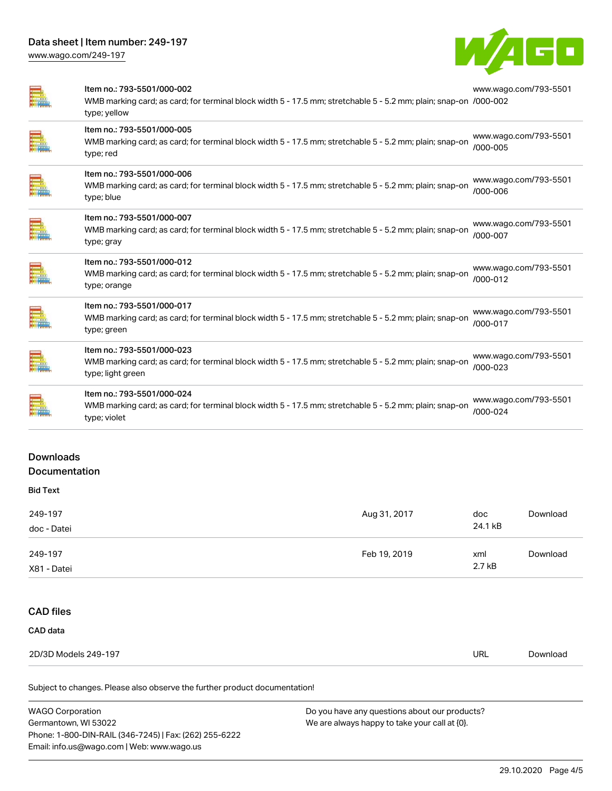

| Item no.: 793-5501/000-002<br>WMB marking card; as card; for terminal block width 5 - 17.5 mm; stretchable 5 - 5.2 mm; plain; snap-on /000-002<br>type; yellow | www.wago.com/793-5501             |
|----------------------------------------------------------------------------------------------------------------------------------------------------------------|-----------------------------------|
| Item no.: 793-5501/000-005<br>WMB marking card; as card; for terminal block width 5 - 17.5 mm; stretchable 5 - 5.2 mm; plain; snap-on<br>type; red             | www.wago.com/793-5501<br>/000-005 |
| Item no.: 793-5501/000-006<br>WMB marking card; as card; for terminal block width 5 - 17.5 mm; stretchable 5 - 5.2 mm; plain; snap-on<br>type; blue            | www.wago.com/793-5501<br>/000-006 |
| Item no.: 793-5501/000-007<br>WMB marking card; as card; for terminal block width 5 - 17.5 mm; stretchable 5 - 5.2 mm; plain; snap-on<br>type; gray            | www.wago.com/793-5501<br>/000-007 |
| Item no.: 793-5501/000-012<br>WMB marking card; as card; for terminal block width 5 - 17.5 mm; stretchable 5 - 5.2 mm; plain; snap-on<br>type; orange          | www.wago.com/793-5501<br>/000-012 |
| Item no.: 793-5501/000-017<br>WMB marking card; as card; for terminal block width 5 - 17.5 mm; stretchable 5 - 5.2 mm; plain; snap-on<br>type; green           | www.wago.com/793-5501<br>/000-017 |
| Item no.: 793-5501/000-023<br>WMB marking card; as card; for terminal block width 5 - 17.5 mm; stretchable 5 - 5.2 mm; plain; snap-on<br>type; light green     | www.wago.com/793-5501<br>/000-023 |
| Item no.: 793-5501/000-024<br>WMB marking card; as card; for terminal block width 5 - 17.5 mm; stretchable 5 - 5.2 mm; plain; snap-on<br>type; violet          | www.wago.com/793-5501<br>/000-024 |
|                                                                                                                                                                |                                   |

# Downloads

# Documentation

| <b>Bid Text</b> |              |         |          |
|-----------------|--------------|---------|----------|
| 249-197         | Aug 31, 2017 | doc     | Download |
| doc - Datei     |              | 24.1 kB |          |
| 249-197         | Feb 19, 2019 | xml     | Download |
| X81 - Datei     |              | 2.7 kB  |          |

# CAD files

### CAD data

| 2D/3D Models 2<br>249-197<br>$\sim$ | URL | Jownload |
|-------------------------------------|-----|----------|
|                                     |     |          |

Subject to changes. Please also observe the further product documentation!

| <b>WAGO Corporation</b>                                | Do you have any questions about our products? |
|--------------------------------------------------------|-----------------------------------------------|
| Germantown, WI 53022                                   | We are always happy to take your call at {0}. |
| Phone: 1-800-DIN-RAIL (346-7245)   Fax: (262) 255-6222 |                                               |
| Email: info.us@wago.com   Web: www.wago.us             |                                               |